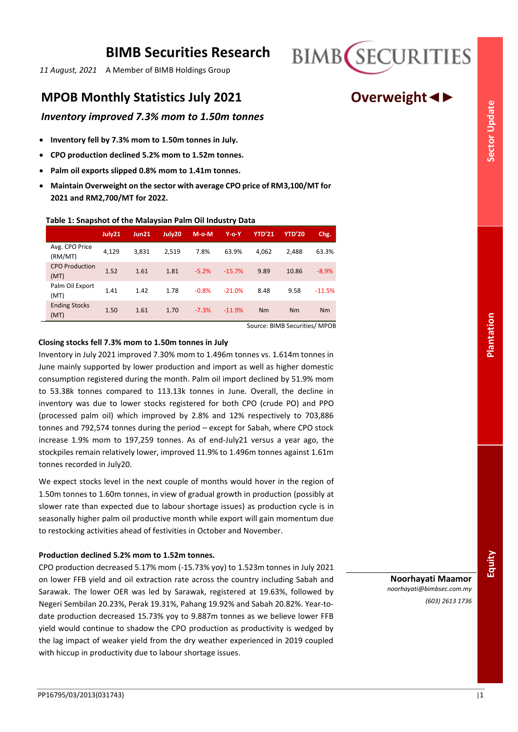# **BIMB Securities Research**

*11 August, 2021* A Member of BIMB Holdings Group

# **MPOB Monthly Statistics July 2021 Overweight◄►**

# *Inventory improved 7.3% mom to 1.50m tonnes*

- **Inventory fell by 7.3% mom to 1.50m tonnes in July.**
- **CPO production declined 5.2% mom to 1.52m tonnes.**
- **Palm oil exports slipped 0.8% mom to 1.41m tonnes.**
- **Maintain Overweight on the sector with average CPO price of RM3,100/MT for 2021 and RM2,700/MT for 2022.**

## **Table 1: Snapshot of the Malaysian Palm Oil Industry Data**

|                               | July21 | Jun21 | July20 | $M-o-M$ | $Y$ -o- $Y$ | <b>YTD'21</b> | <b>YTD'20</b> | Chg.     |
|-------------------------------|--------|-------|--------|---------|-------------|---------------|---------------|----------|
| Avg. CPO Price<br>(RM/MT)     | 4,129  | 3,831 | 2,519  | 7.8%    | 63.9%       | 4,062         | 2.488         | 63.3%    |
| <b>CPO Production</b><br>(MT) | 1.52   | 1.61  | 1.81   | $-5.2%$ | $-15.7%$    | 9.89          | 10.86         | $-8.9%$  |
| Palm Oil Export<br>(MT)       | 1.41   | 1.42  | 1.78   | $-0.8%$ | $-21.0%$    | 8.48          | 9.58          | $-11.5%$ |
| <b>Ending Stocks</b><br>(MT)  | 1.50   | 1.61  | 1.70   | $-7.3%$ | $-11.9%$    | Nm            | Nm            | Nm       |

Source: BIMB Securities/ MPOB

### **Closing stocks fell 7.3% mom to 1.50m tonnes in July**

Inventory in July 2021 improved 7.30% mom to 1.496m tonnes vs. 1.614m tonnes in June mainly supported by lower production and import as well as higher domestic consumption registered during the month. Palm oil import declined by 51.9% mom to 53.38k tonnes compared to 113.13k tonnes in June. Overall, the decline in inventory was due to lower stocks registered for both CPO (crude PO) and PPO (processed palm oil) which improved by 2.8% and 12% respectively to 703,886 tonnes and 792,574 tonnes during the period – except for Sabah, where CPO stock increase 1.9% mom to 197,259 tonnes. As of end-July21 versus a year ago, the stockpiles remain relatively lower, improved 11.9% to 1.496m tonnes against 1.61m tonnes recorded in July20.

We expect stocks level in the next couple of months would hover in the region of 1.50m tonnes to 1.60m tonnes, in view of gradual growth in production (possibly at slower rate than expected due to labour shortage issues) as production cycle is in seasonally higher palm oil productive month while export will gain momentum due to restocking activities ahead of festivities in October and November.

# **Production declined 5.2% mom to 1.52m tonnes.**

CPO production decreased 5.17% mom (-15.73% yoy) to 1.523m tonnes in July 2021 on lower FFB yield and oil extraction rate across the country including Sabah and Sarawak. The lower OER was led by Sarawak, registered at 19.63%, followed by Negeri Sembilan 20.23%, Perak 19.31%, Pahang 19.92% and Sabah 20.82%. Year-todate production decreased 15.73% yoy to 9.887m tonnes as we believe lower FFB yield would continue to shadow the CPO production as productivity is wedged by the lag impact of weaker yield from the dry weather experienced in 2019 coupled with hiccup in productivity due to labour shortage issues.

**Noorhayati Maamor** *noorhayati@bimbsec.com.my (603) 2613 1736*

**BIMB** SECURITIES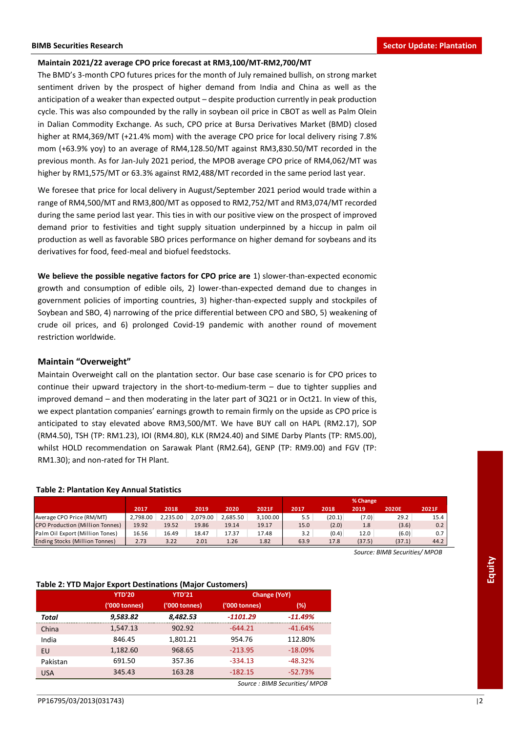#### **Maintain 2021/22 average CPO price forecast at RM3,100/MT-RM2,700/MT**

The BMD's 3-month CPO futures prices for the month of July remained bullish, on strong market sentiment driven by the prospect of higher demand from India and China as well as the anticipation of a weaker than expected output – despite production currently in peak production cycle. This was also compounded by the rally in soybean oil price in CBOT as well as Palm Olein in Dalian Commodity Exchange. As such, CPO price at Bursa Derivatives Market (BMD) closed higher at RM4,369/MT (+21.4% mom) with the average CPO price for local delivery rising 7.8% mom (+63.9% yoy) to an average of RM4,128.50/MT against RM3,830.50/MT recorded in the previous month. As for Jan-July 2021 period, the MPOB average CPO price of RM4,062/MT was higher by RM1,575/MT or 63.3% against RM2,488/MT recorded in the same period last year.

We foresee that price for local delivery in August/September 2021 period would trade within a range of RM4,500/MT and RM3,800/MT as opposed to RM2,752/MT and RM3,074/MT recorded during the same period last year. This ties in with our positive view on the prospect of improved demand prior to festivities and tight supply situation underpinned by a hiccup in palm oil production as well as favorable SBO prices performance on higher demand for soybeans and its derivatives for food, feed-meal and biofuel feedstocks.

**We believe the possible negative factors for CPO price are** 1) slower-than-expected economic growth and consumption of edible oils, 2) lower-than-expected demand due to changes in government policies of importing countries, 3) higher-than-expected supply and stockpiles of Soybean and SBO, 4) narrowing of the price differential between CPO and SBO, 5) weakening of crude oil prices, and 6) prolonged Covid-19 pandemic with another round of movement restriction worldwide.

#### **Maintain "Overweight"**

Maintain Overweight call on the plantation sector. Our base case scenario is for CPO prices to continue their upward trajectory in the short-to-medium-term – due to tighter supplies and improved demand – and then moderating in the later part of 3Q21 or in Oct21. In view of this, we expect plantation companies' earnings growth to remain firmly on the upside as CPO price is anticipated to stay elevated above RM3,500/MT. We have BUY call on HAPL (RM2.17), SOP (RM4.50), TSH (TP: RM1.23), IOI (RM4.80), KLK (RM24.40) and SIME Darby Plants (TP: RM5.00), whilst HOLD recommendation on Sarawak Plant (RM2.64), GENP (TP: RM9.00) and FGV (TP: RM1.30); and non-rated for TH Plant.

#### **Table 2: Plantation Key Annual Statistics**

|                                       |          |          |          |          |          |      |        | % Change |              |       |
|---------------------------------------|----------|----------|----------|----------|----------|------|--------|----------|--------------|-------|
|                                       | 2017     | 2018     | 2019     | 2020     | 2021F    | 2017 | 2018   | 2019     | <b>2020E</b> | 2021F |
| Average CPO Price (RM/MT)             | 2.798.00 | 2.235.00 | 2.079.00 | 2.685.50 | 3.100.00 | 5.5  | (20.1) | (7.0)    | 29.2         | 15.4  |
| CPO Production (Million Tonnes)       | 19.92    | 19.52    | 19.86    | 19.14    | 19.17    | 15.0 | (2.0)  | 1.8      | (3.6)        | 0.2   |
| Palm Oil Export (Million Tones)       | 16.56    | 16.49    | 18.47    | 17.37    | 17.48    | 3.2  | (0.4)  | 12.0     | (6.0)        | 0.7   |
| <b>Ending Stocks (Million Tonnes)</b> | 2.73     | 3.22     | 2.01     | 1.26     | 1.82     | 63.9 | 17.8   | (37.5)   | (37.1)       | 44.2  |

#### **Table 2: YTD Major Export Destinations (Major Customers)**

|                                                                 | 2017          | 2018          | 2019     | 2020                | 2021F                         | 2017       | 2018   | 2019   | <b>2020E</b>                 | 2021F |
|-----------------------------------------------------------------|---------------|---------------|----------|---------------------|-------------------------------|------------|--------|--------|------------------------------|-------|
| Average CPO Price (RM/MT)                                       | 2,798.00      | 2,235.00      | 2,079.00 | 2,685.50            | 3,100.00                      | 5.5        | (20.1) | (7.0)  | 29.2                         | 15    |
| CPO Production (Million Tonnes)                                 | 19.92         | 19.52         | 19.86    | 19.14               | 19.17                         | 15.0       | (2.0)  | 1.8    | (3.6)                        |       |
| Palm Oil Export (Million Tones)                                 | 16.56         | 16.49         | 18.47    | 17.37               | 17.48                         | 3.2        | (0.4)  | 12.0   | (6.0)                        |       |
| Ending Stocks (Million Tonnes)                                  | 2.73          | 3.22          | 2.01     | 1.26                | 1.82                          | 63.9       | 17.8   | (37.5) | (37.1)                       | 44    |
|                                                                 |               |               |          |                     |                               |            |        |        | Source: BIMB Securities/ MPO |       |
|                                                                 |               |               |          |                     |                               |            |        |        |                              |       |
|                                                                 |               |               |          |                     |                               |            |        |        |                              |       |
|                                                                 |               |               |          |                     |                               |            |        |        |                              |       |
| <b>Table 2: YTD Major Export Destinations (Major Customers)</b> |               |               |          |                     |                               |            |        |        |                              |       |
| <b>YTD'20</b>                                                   |               | <b>YTD'21</b> |          | <b>Change (YoY)</b> |                               |            |        |        |                              |       |
|                                                                 | ('000 tonnes) | ('000 tonnes) |          | ('000 tonnes)       |                               | $(\%)$     |        |        |                              |       |
| Total                                                           | 9,583.82      | 8,482.53      |          | $-1101.29$          |                               | $-11.49%$  |        |        |                              |       |
| China                                                           | 1,547.13      | 902.92        |          | $-644.21$           |                               | $-41.64\%$ |        |        |                              |       |
| India                                                           | 846.45        | 1,801.21      |          | 954.76              |                               | 112.80%    |        |        |                              |       |
| <b>EU</b>                                                       | 1,182.60      | 968.65        |          | $-213.95$           |                               | $-18.09%$  |        |        |                              |       |
| Pakistan                                                        | 691.50        | 357.36        |          | $-334.13$           |                               | $-48.32%$  |        |        |                              |       |
| 345.43<br><b>USA</b>                                            |               | 163.28        |          | $-182.15$           |                               | $-52.73%$  |        |        |                              |       |
|                                                                 |               |               |          |                     | Source: BIMB Securities/ MPOB |            |        |        |                              |       |

**Equity**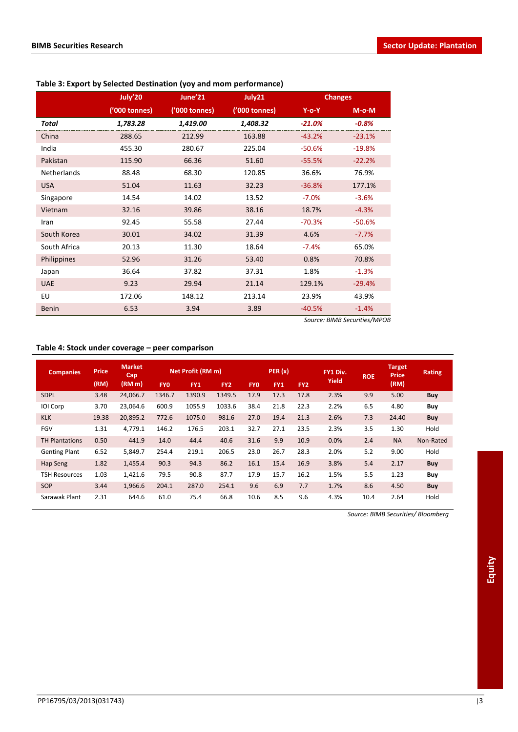|                    | July'20       | June'21       | July21        | <b>Changes</b> |          |  |
|--------------------|---------------|---------------|---------------|----------------|----------|--|
|                    | ('000 tonnes) | ('000 tonnes) | ('000 tonnes) | $Y$ -o-Y       | $M-o-M$  |  |
| Total              | 1,783.28      | 1,419.00      | 1,408.32      | $-21.0%$       | $-0.8%$  |  |
| China              | 288.65        | 212.99        | 163.88        | $-43.2%$       | $-23.1%$ |  |
| India              | 455.30        | 280.67        | 225.04        | $-50.6%$       | $-19.8%$ |  |
| Pakistan           | 115.90        | 66.36         | 51.60         | $-55.5%$       | $-22.2%$ |  |
| <b>Netherlands</b> | 88.48         | 68.30         | 120.85        | 36.6%          | 76.9%    |  |
| <b>USA</b>         | 51.04         | 11.63         | 32.23         | $-36.8%$       | 177.1%   |  |
| Singapore          | 14.54         | 14.02         | 13.52         | $-7.0%$        | $-3.6%$  |  |
| Vietnam            | 32.16         | 39.86         | 38.16         | 18.7%          | $-4.3%$  |  |
| Iran               | 92.45         | 55.58         | 27.44         | $-70.3%$       | $-50.6%$ |  |
| South Korea        | 30.01         | 34.02         | 31.39         | 4.6%           | $-7.7%$  |  |
| South Africa       | 20.13         | 11.30         | 18.64         | $-7.4%$        | 65.0%    |  |
| Philippines        | 52.96         | 31.26         | 53.40         | 0.8%           | 70.8%    |  |
| Japan              | 36.64         | 37.82         | 37.31         | 1.8%           | $-1.3%$  |  |
| <b>UAE</b>         | 9.23          | 29.94         | 21.14         | 129.1%         | $-29.4%$ |  |
| EU                 | 172.06        | 148.12        | 213.14        | 23.9%          | 43.9%    |  |
| <b>Benin</b>       | 6.53          | 3.94          | 3.89          | $-40.5%$       | $-1.4%$  |  |

# **Table 3: Export by Selected Destination (yoy and mom performance)**

*Source: BIMB Securities/MPOB*

# **Table 4: Stock under coverage – peer comparison**

| <b>Companies</b>      | <b>Price</b> | <b>Market</b><br>Cap |            | Net Profit (RM m) |                 |            | PER(x)     |                 | FY1 Div.     | <b>ROE</b> | <b>Target</b><br><b>Price</b> | <b>Rating</b> |
|-----------------------|--------------|----------------------|------------|-------------------|-----------------|------------|------------|-----------------|--------------|------------|-------------------------------|---------------|
|                       | (RM)         | (RM m)               | <b>FYO</b> | FY1               | FY <sub>2</sub> | <b>FYO</b> | <b>FY1</b> | FY <sub>2</sub> | <b>Yield</b> |            | (RM)                          |               |
| <b>SDPL</b>           | 3.48         | 24,066.7             | 1346.7     | 1390.9            | 1349.5          | 17.9       | 17.3       | 17.8            | 2.3%         | 9.9        | 5.00                          | <b>Buy</b>    |
| IOI Corp              | 3.70         | 23.064.6             | 600.9      | 1055.9            | 1033.6          | 38.4       | 21.8       | 22.3            | 2.2%         | 6.5        | 4.80                          | Buy           |
| <b>KLK</b>            | 19.38        | 20,895.2             | 772.6      | 1075.0            | 981.6           | 27.0       | 19.4       | 21.3            | 2.6%         | 7.3        | 24.40                         | Buy           |
| <b>FGV</b>            | 1.31         | 4,779.1              | 146.2      | 176.5             | 203.1           | 32.7       | 27.1       | 23.5            | 2.3%         | 3.5        | 1.30                          | Hold          |
| <b>TH Plantations</b> | 0.50         | 441.9                | 14.0       | 44.4              | 40.6            | 31.6       | 9.9        | 10.9            | 0.0%         | 2.4        | <b>NA</b>                     | Non-Rated     |
| <b>Genting Plant</b>  | 6.52         | 5,849.7              | 254.4      | 219.1             | 206.5           | 23.0       | 26.7       | 28.3            | 2.0%         | 5.2        | 9.00                          | Hold          |
| Hap Seng              | 1.82         | 1,455.4              | 90.3       | 94.3              | 86.2            | 16.1       | 15.4       | 16.9            | 3.8%         | 5.4        | 2.17                          | Buy           |
| <b>TSH Resources</b>  | 1.03         | 1,421.6              | 79.5       | 90.8              | 87.7            | 17.9       | 15.7       | 16.2            | 1.5%         | 5.5        | 1.23                          | Buy           |
| SOP                   | 3.44         | 1,966.6              | 204.1      | 287.0             | 254.1           | 9.6        | 6.9        | 7.7             | 1.7%         | 8.6        | 4.50                          | <b>Buy</b>    |
| Sarawak Plant         | 2.31         | 644.6                | 61.0       | 75.4              | 66.8            | 10.6       | 8.5        | 9.6             | 4.3%         | 10.4       | 2.64                          | Hold          |

*Source: BIMB Securities/ Bloomberg*